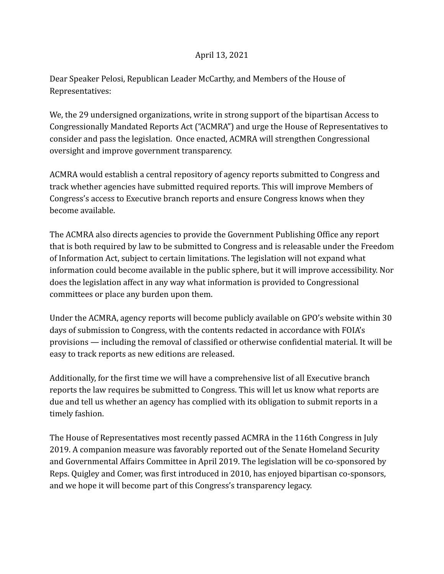## April 13, 2021

Dear Speaker Pelosi, Republican Leader McCarthy, and Members of the House of Representatives:

We, the 29 undersigned organizations, write in strong support of the bipartisan Access to Congressionally Mandated Reports Act ("ACMRA") and urge the House of Representatives to consider and pass the legislation. Once enacted, ACMRA will strengthen Congressional oversight and improve government transparency.

ACMRA would establish a central repository of agency reports submitted to Congress and track whether agencies have submitted required reports. This will improve Members of Congress's access to Executive branch reports and ensure Congress knows when they become available.

The ACMRA also directs agencies to provide the Government Publishing Office any report that is both required by law to be submitted to Congress and is releasable under the Freedom of Information Act, subject to certain limitations. The legislation will not expand what information could become available in the public sphere, but it will improve accessibility. Nor does the legislation affect in any way what information is provided to Congressional committees or place any burden upon them.

Under the ACMRA, agency reports will become publicly available on GPO's website within 30 days of submission to Congress, with the contents redacted in accordance with FOIA's provisions — including the removal of classified or otherwise confidential material. It will be easy to track reports as new editions are released.

Additionally, for the first time we will have a comprehensive list of all Executive branch reports the law requires be submitted to Congress. This will let us know what reports are due and tell us whether an agency has complied with its obligation to submit reports in a timely fashion.

The House of Representatives most recently passed ACMRA in the 116th Congress in July 2019. A companion measure was favorably reported out of the Senate Homeland Security and Governmental Affairs Committee in April 2019. The legislation will be co-sponsored by Reps. Quigley and Comer, was first introduced in 2010, has enjoyed bipartisan co-sponsors, and we hope it will become part of this Congress's transparency legacy.